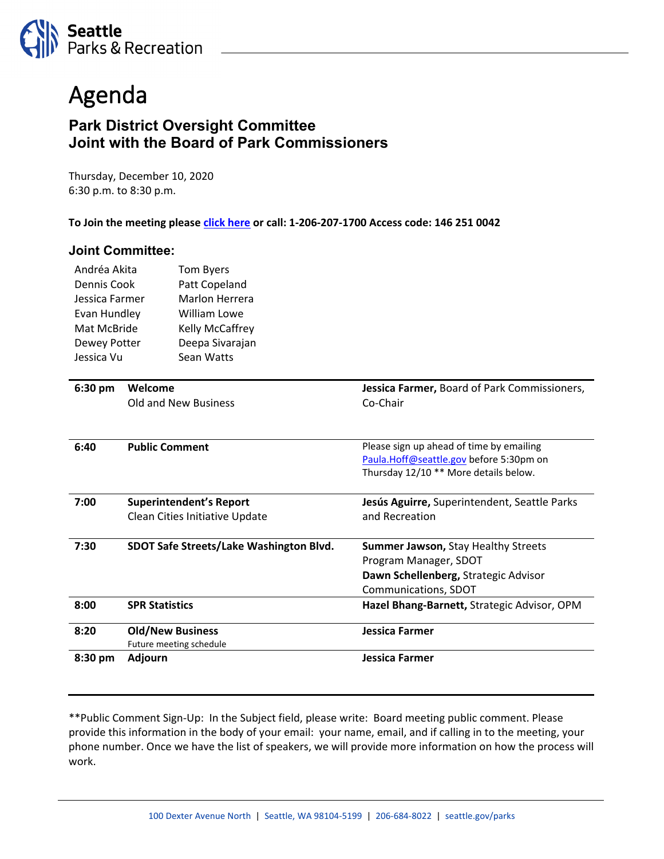

## Agenda

## **Park District Oversight Committee Joint with the Board of Park Commissioners**

Thursday, December 10, 2020 6:30 p.m. to 8:30 p.m.

**To Join the meeting pleas[e click here](https://seattle.webex.com/seattle/onstage/g.php?MTID=e1297b11c99e7e6e8ec25436fa84c2cad) or call: 1-206-207-1700 Access code: 146 251 0042**

## **Joint Committee:**

| Andréa Akita<br>Dennis Cook<br>Jessica Farmer<br>Evan Hundley<br>Mat McBride<br>Dewey Potter |                                                                  | Tom Byers<br>Patt Copeland<br><b>Marlon Herrera</b><br>William Lowe<br>Kelly McCaffrey<br>Deepa Sivarajan |                                                                                                                              |
|----------------------------------------------------------------------------------------------|------------------------------------------------------------------|-----------------------------------------------------------------------------------------------------------|------------------------------------------------------------------------------------------------------------------------------|
| Jessica Vu                                                                                   |                                                                  | Sean Watts                                                                                                |                                                                                                                              |
| $6:30$ pm                                                                                    | Welcome                                                          | <b>Old and New Business</b>                                                                               | Jessica Farmer, Board of Park Commissioners,<br>Co-Chair                                                                     |
| 6:40                                                                                         | <b>Public Comment</b>                                            |                                                                                                           | Please sign up ahead of time by emailing<br>Paula.Hoff@seattle.gov before 5:30pm on<br>Thursday 12/10 ** More details below. |
| 7:00                                                                                         | <b>Superintendent's Report</b><br>Clean Cities Initiative Update |                                                                                                           | Jesús Aguirre, Superintendent, Seattle Parks<br>and Recreation                                                               |
| 7:30                                                                                         | SDOT Safe Streets/Lake Washington Blvd.                          |                                                                                                           | Summer Jawson, Stay Healthy Streets<br>Program Manager, SDOT<br>Dawn Schellenberg, Strategic Advisor<br>Communications, SDOT |
| 8:00                                                                                         | <b>SPR Statistics</b>                                            |                                                                                                           | Hazel Bhang-Barnett, Strategic Advisor, OPM                                                                                  |
| 8:20                                                                                         | <b>Old/New Business</b><br>Future meeting schedule               |                                                                                                           | <b>Jessica Farmer</b>                                                                                                        |
| 8:30 pm                                                                                      | Adjourn                                                          |                                                                                                           | <b>Jessica Farmer</b>                                                                                                        |

\*\*Public Comment Sign-Up: In the Subject field, please write: Board meeting public comment. Please provide this information in the body of your email: your name, email, and if calling in to the meeting, your phone number. Once we have the list of speakers, we will provide more information on how the process will work.